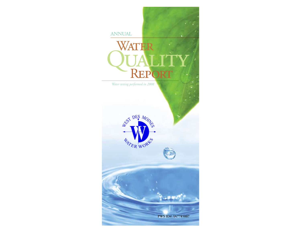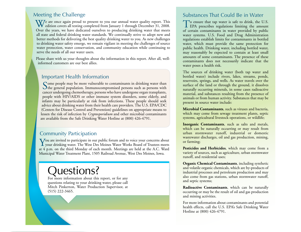## Meeting the Challenge

We are once again proud to present to you our annual water quality report. This edition covers all testing completed from January 1 through December 31, 2008. Over the years, we have dedicated ourselves to producing drinking water that meets all state and federal drinking water standards. We continually strive to adopt new and better methods for delivering the best quality drinking water to you. As new challenges to drinking water safety emerge, we remain vigilant in meeting the challenges of source water protection, water conservation, and community education while continuing to serve the needs of all our water users.

Please share with us your thoughts about the information in this report. After all, wellinformed customers are our best allies.

### Important Health Information

Some people may be more vulnerable to contaminants in drinking water than the general population. Immunocompromised persons such as persons with cancer undergoing chemotherapy, persons who have undergone organ transplants, people with HIV/AIDS or other immune system disorders, some elderly, and infants may be particularly at risk from infections. These people should seek advice about drinking water from their health care providers. The U.S. EPA/CDC (Centers for Disease Control and Prevention) guidelines on appropriate means to lessen the risk of infection by *Cryptosporidium* and other microbial contaminants are available from the Safe Drinking Water Hotline at (800) 426-4791.

## Community Participation

You are invited to participate in our public forum and to voice your concerns about **I** your drinking water. The West Des Moines Water Works Board of Trustees meets at 4 p.m. on the third Monday of each month. Meetings are held at the A.C. Ward Municipal Water Treatment Plant, 1505 Railroad Avenue, West Des Moines, Iowa.

# Questions?

For more information about this report, or for any questions relating to your drinking water, please call Mitch Pinkerton, Water Production Supervisor, at (515) 222-3465.

## Substances That Could Be in Water

To ensure that tap water is safe to drink, the U.S. EPA prescribes regulations limiting the amount of certain contaminants in water provided by public water systems. U.S. Food and Drug Administration regulations establish limits for contaminants in bottled water, which must provide the same protection for public health. Drinking water, including bottled water, may reasonably be expected to contain at least small amounts of some contaminants. The presence of these contaminants does not necessarily indicate that the water poses a health risk.

The sources of drinking water (both tap water and bottled water) include rivers, lakes, streams, ponds, reservoirs, springs, and wells. As water travels over the surface of the land or through the ground, it dissolves naturally occurring minerals, in some cases radioactive material, and substances resulting from the presence of animals or from human activity. Substances that may be present in source water include:

**Microbial Contaminants**, such as viruses and bacteria, which may come from sewage treatment plants, septic systems, agricultural livestock operations, or wildlife;

**Inorganic Contaminants**, such as salts and metals, which can be naturally occurring or may result from urban stormwater runoff, industrial or domestic wastewater discharges, oil and gas production, mining, or farming;

**Pesticides and Herbicides**, which may come from a variety of sources, such as agriculture, urban stormwater runoff, and residential uses;

**Organic Chemical Contaminants**, including synthetic and volatile organic chemicals, which are by-products of industrial processes and petroleum production and may also come from gas stations, urban stormwater runoff, and septic systems;

**Radioactive Contaminants**, which can be naturally occurring or may be the result of oil and gas production and mining activities.

For more information about contaminants and potential health effects, call the U.S. EPA's Safe Drinking Water Hotline at (800) 426-4791.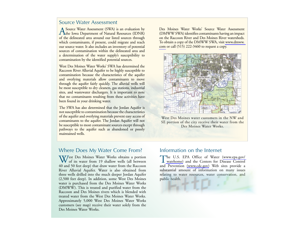#### Source Water Assessment

A Source Water Assessment (SWA) is an evaluation by the Iowa Department of Natural Resources (IDNR) of the delineated area around our listed sources through which contaminants, if present, could migrate and reach our source water. It also includes an inventory of potential sources of contamination within the delineated area and a determination of the water supply's susceptibility to contamination by the identified potential sources.

West Des Moines Water Works' SWA has determined the Raccoon River Alluvial Aquifer to be highly susceptible to contamination because the characteristics of the aquifer and overlying materials allow contaminants to move through the aquifer fairly quickly. The alluvial wells will be most susceptible to dry cleaners, gas stations, industrial sites, and wastewater dischargers. It is important to note that no contaminants resulting from these activities have been found in your drinking water.

The SWA has also determined that the Jordan Aquifer is not susceptible to contamination because the characteristics of the aquifer and overlying materials prevent easy access of contaminants to the aquifer. The Jordan Aquifer will not be susceptible to most contaminant sources except through pathways to the aquifer such as abandoned or poorly maintained wells.

### Where Does My Water Come From?

West Des Moines Water Works obtains a portion<br>of its water from 19 shallow wells (all between 40 and 50 feet deep) that draw water from the Raccoon River Alluvial Aquifer. Water is also obtained from three wells drilled into the much deeper Jordan Aquifer (2,500 feet deep). In addition, some West Des Moines water is purchased from the Des Moines Water Works (DMWW). This is treated and purified water from the Raccoon and Des Moines rivers which is blended with treated water from the West Des Moines Water Works. Approximately 5,000 West Des Moines Water Works customers (see map) receive their water solely from the Des Moines Water Works.

Des Moines Water Works' Source Water Assessment (DMWW SWA) identifies contaminants having an impact on the Raccoon River and Des Moines River watersheds. To obtain a copy of the DMWW SWA, visit [www.dmww.](www.dmww.com) [com](www.dmww.com) or call (515) 222-3460 to request a copy.



West Des Moines water customers in the NW and SE portion of the city receive their water from the Des Moines Water Works.

#### Information on the Internet

[T](www.epa.gov/watrhome)he U.S. EPA Office of Water [\(www.epa.gov/](www.epa.gov/watrhome) watrhome) and the Centers for Disease Control and Prevention [\(www.cdc.gov\)](www.cdc.gov) Web sites provide a substantial amount of information on many issues relating to water resources, water conservation, and public health.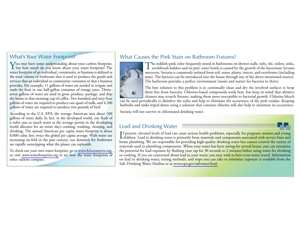## What's Your Water Footprint?

You may have some understanding about your carbon footprint, but how much do you know about your water footprint? The water footprint of an individual, community, or business is defined as the total volume of freshwater that is used to produce the goods and services that an individual or community consumes or that a business provides. For example, 11 gallons of water are needed to irrigate and wash the fruit in one half-gallon container of orange juice. Thirtyseven gallons of water are used to grow, produce, package, and ship the beans in that morning cup of coffee. Two hundred and sixty-four gallons of water are required to produce one quart of milk, and 4,200 gallons of water are required to produce two pounds of beef.

According to the U.S. EPA, the average American uses about 100 gallons of water daily. In fact, in the developed world, one flush of a toilet uses as much water as the average person in the developing world allocates for an entire day's cooking, washing, cleaning, and drinking. The annual American per capita water footprint is about 8,000 cubic feet; twice the global per capita average. With water use increasing six-fold in the past century, our demands for freshwater are rapidly outstripping what the planet can replenish.

To check out your own water footprint, go to [www.h2oconserve.org,](www.h2oconserve.org) or visit<www.waterfootprint.org>to see how the water footprints of other nations compare.

## What Causes the Pink Stain on Bathroom Fixtures?



The reddish-pink color frequently noted in bathrooms on shower stalls, tubs, tile, toilets, sinks, toothbrush holders and on pets' water bowls is caused by the growth of the bacterium *Serratia marcesens*. Serratia is commonly isolated from soil, water, plants, insects, and vertebrates (including man). The bacteria can be introduced into the house through any of the above mentioned sources. The bathroom provides a perfect environment (moist and warm) for bacteria to thrive.

The best solution to this problem is to continually clean and dry the involved surfaces to keep them free from bacteria. Chlorine-based compounds work best, but keep in mind that abrasive cleaners may scratch fixtures, making them more susceptible to bacterial growth. Chlorine bleach can be used periodically to disinfect the toilet and help to eliminate the occurrence of the pink residue. Keeping bathtubs and sinks wiped down using a solution that contains chlorine will also help to minimize its occurrence.

Serratia will not survive in chlorinated drinking water.

### Lead and Drinking Water

If present, elevated levels of lead can cause serious health problems, especially for pregnant women and young<br>children. Lead in drinking water is primarily from materials and components associated with service lines and children. Lead in drinking water is primarily from materials and components associated with service lines and home plumbing. We are responsible for providing high-quality drinking water but cannot control the variety of materials used in plumbing components. When your water has been sitting for several hours, you can minimize the potential for lead exposure by flushing your tap for 30 seconds to 2 minutes before using water for drinking or cooking. If you are concerned about lead in your water, you may wish to have your water tested. Information on lead in drinking water, testing methods, and steps you can take to minimize exposure is available from the Safe Drinking Water Hotline or at [www.epa.gov/safewater/lead.](www.epa.gov/safewater/lead)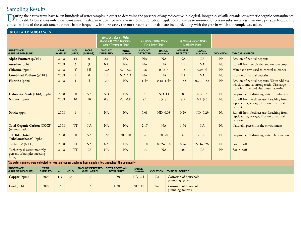## Sampling Results

During the past year we have taken hundreds of water samples in order to determine the presence of any radioactive, biological, inorganic, volatile organic, or synthetic organic contaminants.<br>The table below shows only tho concentrations of these substances do not change frequently. In these cases, the most recent sample data are included, along with the year in which the sample was taken.

| <b>REGULATED SUBSTANCES</b>                                              |                               |                      |                        |                                                                                                  |                          |                                                           |                          |                                                        |                          |                  |                                                                                                                                 |
|--------------------------------------------------------------------------|-------------------------------|----------------------|------------------------|--------------------------------------------------------------------------------------------------|--------------------------|-----------------------------------------------------------|--------------------------|--------------------------------------------------------|--------------------------|------------------|---------------------------------------------------------------------------------------------------------------------------------|
|                                                                          |                               |                      |                        | <b>West Des Moines Water</b><br><b>Works A.C. Ward Municipal</b><br><b>Water Treatment Plant</b> |                          | <b>Des Moines Water Works</b><br><b>Fleur Drive Plant</b> |                          | <b>Des Moines Water Works</b><br><b>McMullen Plant</b> |                          |                  |                                                                                                                                 |
| <b>SUBSTANCE</b><br>(UNIT OF MEASURE)                                    | <b>YEAR</b><br><b>SAMPLED</b> | <b>MCL</b><br>[MRDL] | <b>MCLG</b><br>[MRDLG] | <b>AMOUNT</b><br><b>DETECTED</b>                                                                 | <b>RANGE</b><br>LOW-HIGH | <b>AMOUNT</b><br><b>DETECTED</b>                          | <b>RANGE</b><br>LOW-HIGH | <b>AMOUNT</b><br><b>DETECTED</b>                       | <b>RANGE</b><br>LOW-HIGH | <b>VIOLATION</b> | <b>TYPICAL SOURCE</b>                                                                                                           |
| <b>Alpha Emitters</b> (pCi/L)                                            | 2008                          | 15                   | $\overline{0}$         | 2.1                                                                                              | <b>NA</b>                | <b>NA</b>                                                 | <b>NA</b>                | <b>NA</b>                                              | NA                       | N <sub>o</sub>   | Erosion of natural deposits                                                                                                     |
| <b>Atrazine</b> (ppb)                                                    | 2008                          | 3                    | 3                      | <b>NA</b>                                                                                        | NA                       | <b>NA</b>                                                 | <b>NA</b>                | 0.1                                                    | NA                       | N <sub>o</sub>   | Runoff from herbicide used on row crops                                                                                         |
| Chlorine (ppm)                                                           | 2008                          | $[4]$                | $[4]$                  | 1.25                                                                                             | $0.1 - 2.2$              | 0.8                                                       | $0.08 - 4$               | 0.8                                                    | $0.08 - 4$               | No               | Water additive used to control microbes                                                                                         |
| <b>Combined Radium</b> (pCi/L)                                           | 2008                          | $\overline{5}$       | $\overline{0}$         | 1.2                                                                                              | $ND-1.2$                 | <b>NA</b>                                                 | <b>NA</b>                | <b>NA</b>                                              | <b>NA</b>                | No               | Erosion of natural deposits                                                                                                     |
| Fluoride (ppm)                                                           | 2008                          | $\overline{4}$       | $\overline{4}$         | 1.17                                                                                             | <b>NA</b>                | 1.49                                                      | $0.18 - 1.49$            | 1.32                                                   | $0.72 - 1.32$            | No               | Erosion of natural deposits; Water additive<br>which promotes strong teeth; Discharge<br>from fertilizer and aluminum factories |
| Haloacetic Acids [HAA] (ppb)                                             | 2008                          | 60                   | NA                     | <b>ND</b>                                                                                        | <b>NA</b>                | 8                                                         | $ND-14$                  | 8                                                      | $ND-14$                  | No               | By-product of drinking water disinfection                                                                                       |
| Nitrate <sup>1</sup> (ppm)                                               | 2008                          | 10                   | 10                     | 0.8                                                                                              | $0.4 - 0.8$              | 8.1                                                       | $0.5 - 8.1$              | 9.5                                                    | $0.7 - 9.5$              | No               | Runoff from fertilizer use; Leaching from<br>septic tanks, sewage; Erosion of natural<br>deposits                               |
| Nitrite (ppm)                                                            | 2008                          |                      |                        | NA                                                                                               | NA                       | 0.08                                                      | $ND-0.08$                | 0.29                                                   | $ND-0.29$                | No               | Runoff from fertilizer use; Leaching from<br>septic tanks, sewage; Erosion of natural<br>deposits                               |
| Total Organic Carbon [TOC] <sup>2</sup><br>(removal ratio)               | 2008                          | <b>TT</b>            | <b>NA</b>              | <b>NA</b>                                                                                        | <b>NA</b>                | 2.17                                                      | <b>NA</b>                | 1.94                                                   | <b>NA</b>                | No               | Naturally present in the environment                                                                                            |
| <b>TTHMs</b> [Total<br>Trihalomethanes] (ppb)                            | 2008                          | 80                   | <b>NA</b>              | 1.83                                                                                             | $ND-10$                  | 37                                                        | $20 - 70$                | 37                                                     | $20 - 70$                | No               | By-product of drinking water chlorination                                                                                       |
| Turbidity <sup>3</sup> (NTU)                                             | 2008                          | <b>TT</b>            | <b>NA</b>              | <b>NA</b>                                                                                        | <b>NA</b>                | 0.18                                                      | $0.02 - 0.18$            | 0.26                                                   | $ND-0.26$                | No               | Soil runoff                                                                                                                     |
| <b>Turbidity</b> (Lowest monthly<br>percent of samples meeting<br>limit) | 2008                          | <b>TT</b>            | <b>NA</b>              | NA                                                                                               | <b>NA</b>                | 100                                                       | <b>NA</b>                | 100                                                    | NA                       | No               | Soil runoff                                                                                                                     |

**Tap water samples were collected for lead and copper analyses from sample sites throughout the community**

| <b>SUBSTANCE</b><br>(UNIT OF MEASURE) | <b>YEAR</b><br><b>SAMPLED</b> | <b>AL</b> | <b>MCLG</b> | <b>AMOUNT DETECTED</b><br>(90TH%TILE) | SITES ABOVE AL/<br><b>TOTAL SITES</b> | <b>RANGE</b><br>LOW-HIGH | <b>VIOLATION</b> | <b>TYPICAL SOURCE</b>                      |
|---------------------------------------|-------------------------------|-----------|-------------|---------------------------------------|---------------------------------------|--------------------------|------------------|--------------------------------------------|
| Copper (ppm)                          | 2007                          |           | 1.3         |                                       | 0/30                                  | $ND-24$                  | No               | Corrosion of household<br>plumbing systems |
| Lead (ppb)                            | 2007                          |           | $\theta$    |                                       | 1/30                                  | $ND-34$                  | No               | Corrosion of household<br>plumbing systems |